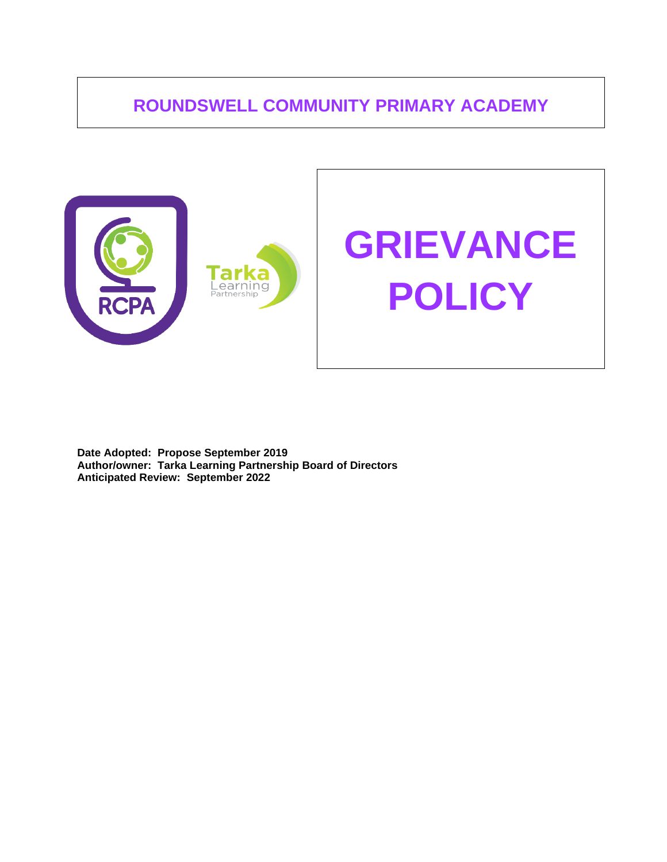# **ROUNDSWELL COMMUNITY PRIMARY ACADEMY**



**Date Adopted: Propose September 2019 Author/owner: Tarka Learning Partnership Board of Directors Anticipated Review: September 2022**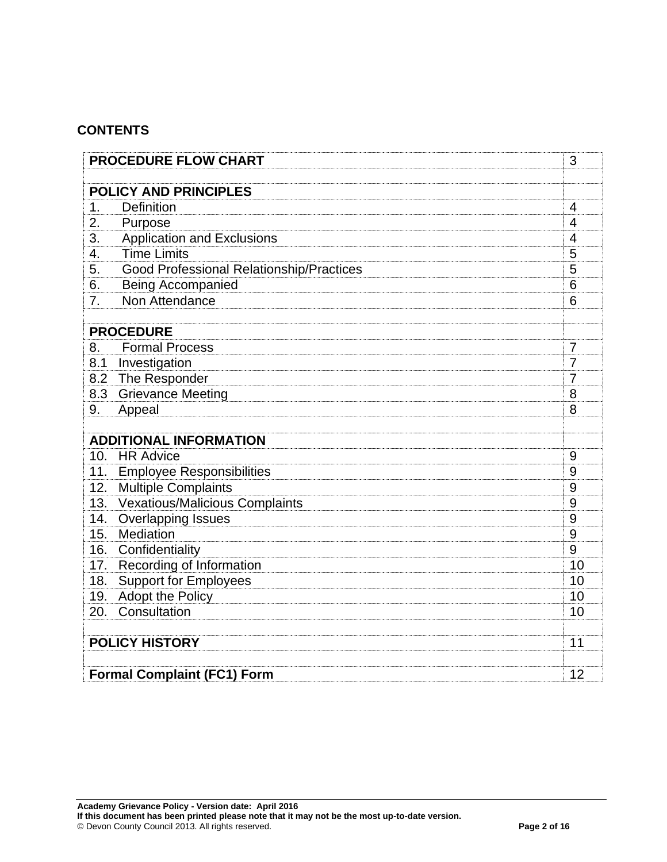## **CONTENTS**

| <b>PROCEDURE FLOW CHART</b>        | 3                                                                   |                |  |
|------------------------------------|---------------------------------------------------------------------|----------------|--|
|                                    | <b>POLICY AND PRINCIPLES</b>                                        |                |  |
| 1.                                 | <b>Definition</b>                                                   | $\overline{4}$ |  |
| 2.                                 | Purpose                                                             | $\overline{4}$ |  |
| 3.                                 | <b>Application and Exclusions</b>                                   | $\overline{4}$ |  |
| 4.                                 | <b>Time Limits</b>                                                  | 5              |  |
| 5.                                 | <b>Good Professional Relationship/Practices</b>                     | 5              |  |
| 6.                                 | <b>Being Accompanied</b>                                            | 6              |  |
| 7.                                 | Non Attendance                                                      | 6              |  |
|                                    |                                                                     |                |  |
|                                    | <b>PROCEDURE</b>                                                    |                |  |
| 8.                                 | <b>Formal Process</b>                                               | $\overline{7}$ |  |
| 8.1                                | Investigation                                                       | $\overline{7}$ |  |
| 8.2                                | The Responder                                                       | $\overline{7}$ |  |
|                                    | 8.3 Grievance Meeting                                               | 8              |  |
| 9.                                 | Appeal                                                              | 8              |  |
|                                    |                                                                     |                |  |
| <b>ADDITIONAL INFORMATION</b>      |                                                                     |                |  |
| 10.                                | <b>HR Advice</b>                                                    | 9<br>9         |  |
| 12.                                | 11. Employee Responsibilities                                       | 9              |  |
| 13.                                | <b>Multiple Complaints</b><br><b>Vexatious/Malicious Complaints</b> | 9              |  |
| 14.                                | <b>Overlapping Issues</b>                                           | 9              |  |
| 15.                                | Mediation                                                           | 9              |  |
|                                    | 16. Confidentiality                                                 | 9              |  |
|                                    | 17. Recording of Information                                        | 10             |  |
| 18.                                | <b>Support for Employees</b>                                        | 10             |  |
|                                    | 19. Adopt the Policy                                                | 10             |  |
| 20.                                | Consultation                                                        | 10             |  |
|                                    |                                                                     |                |  |
| <b>POLICY HISTORY</b>              |                                                                     |                |  |
| 11                                 |                                                                     |                |  |
| <b>Formal Complaint (FC1) Form</b> |                                                                     |                |  |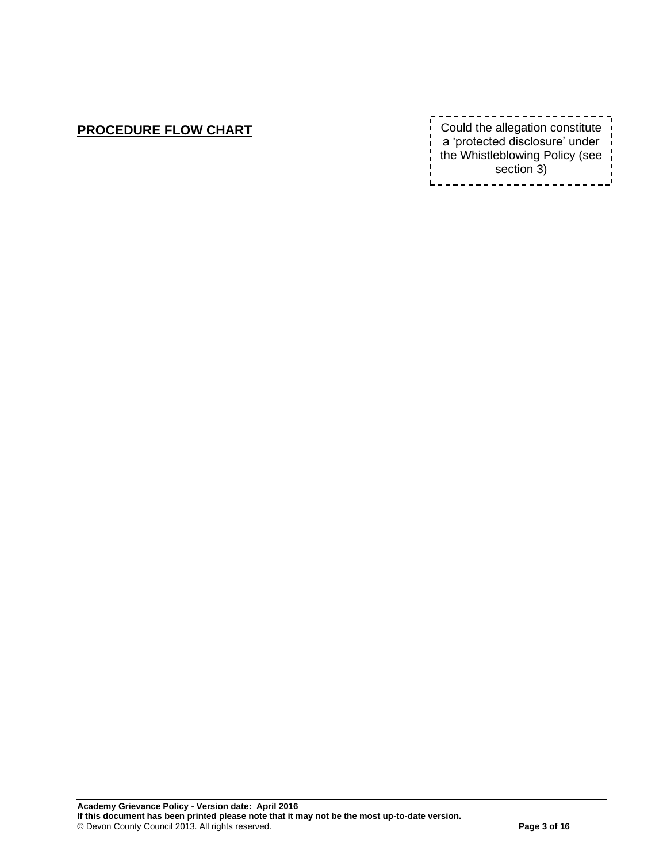# **PROCEDURE FLOW CHART**

| Could the allegation constitute<br>a 'protected disclosure' under<br>the Whistleblowing Policy (see |
|-----------------------------------------------------------------------------------------------------|
| section 3)                                                                                          |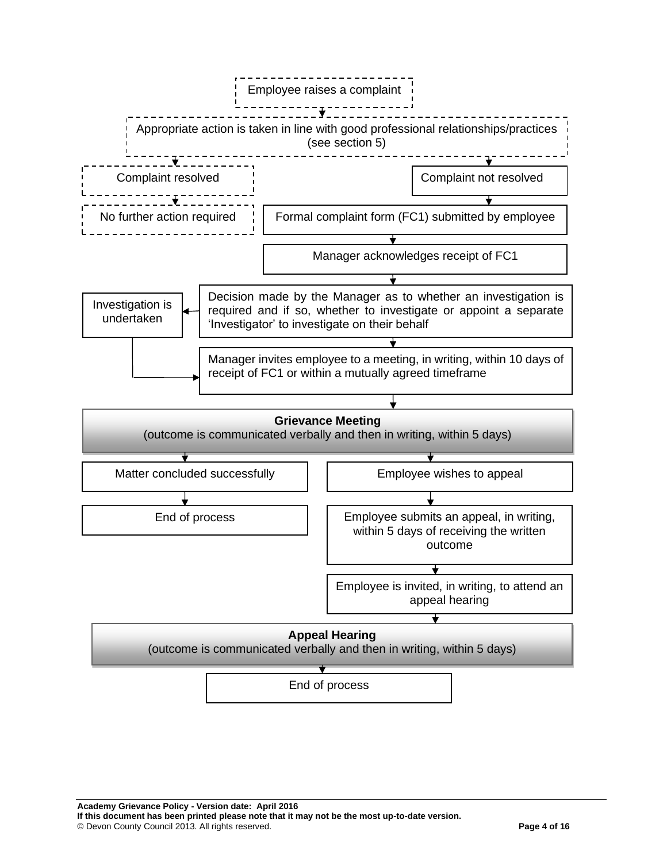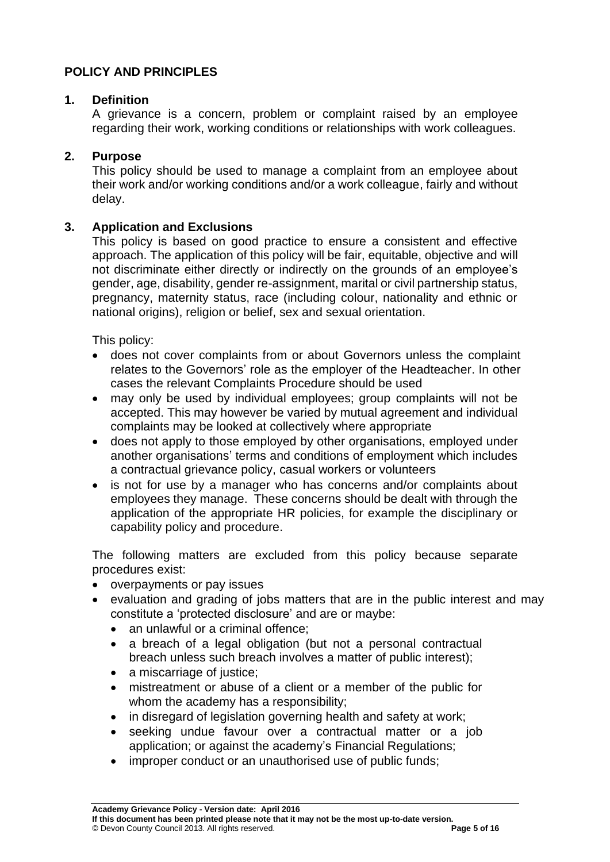## **POLICY AND PRINCIPLES**

## **1. Definition**

A grievance is a concern, problem or complaint raised by an employee regarding their work, working conditions or relationships with work colleagues.

## **2. Purpose**

This policy should be used to manage a complaint from an employee about their work and/or working conditions and/or a work colleague, fairly and without delay.

## **3. Application and Exclusions**

This policy is based on good practice to ensure a consistent and effective approach. The application of this policy will be fair, equitable, objective and will not discriminate either directly or indirectly on the grounds of an employee's gender, age, disability, gender re-assignment, marital or civil partnership status, pregnancy, maternity status, race (including colour, nationality and ethnic or national origins), religion or belief, sex and sexual orientation.

This policy:

- does not cover complaints from or about Governors unless the complaint relates to the Governors' role as the employer of the Headteacher. In other cases the relevant Complaints Procedure should be used
- may only be used by individual employees; group complaints will not be accepted. This may however be varied by mutual agreement and individual complaints may be looked at collectively where appropriate
- does not apply to those employed by other organisations, employed under another organisations' terms and conditions of employment which includes a contractual grievance policy, casual workers or volunteers
- is not for use by a manager who has concerns and/or complaints about employees they manage. These concerns should be dealt with through the application of the appropriate HR policies, for example the disciplinary or capability policy and procedure.

The following matters are excluded from this policy because separate procedures exist:

- overpayments or pay issues
- evaluation and grading of jobs matters that are in the public interest and may constitute a 'protected disclosure' and are or maybe:
	- an unlawful or a criminal offence:
	- a breach of a legal obligation (but not a personal contractual breach unless such breach involves a matter of public interest);
	- a miscarriage of justice;
	- mistreatment or abuse of a client or a member of the public for whom the academy has a responsibility;
	- in disregard of legislation governing health and safety at work;
	- seeking undue favour over a contractual matter or a job application; or against the academy's Financial Regulations;
	- improper conduct or an unauthorised use of public funds;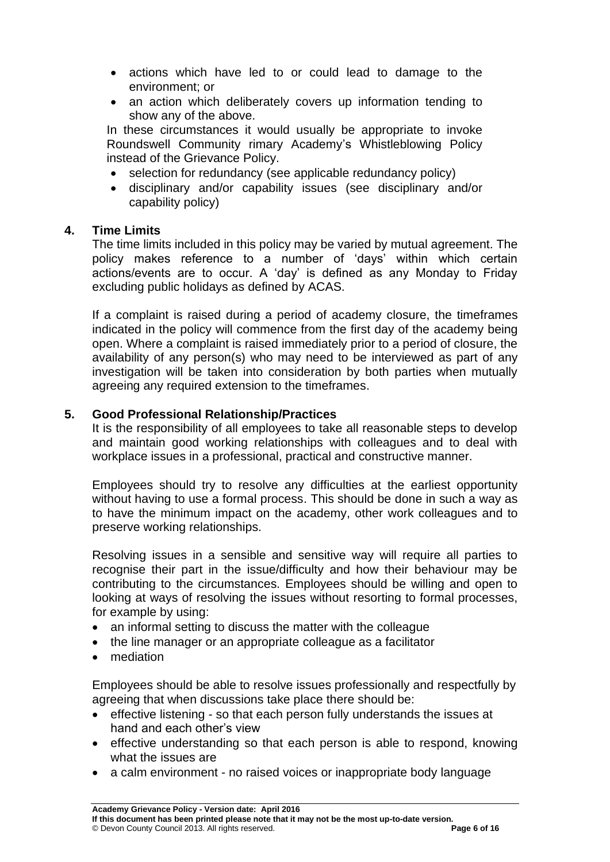- actions which have led to or could lead to damage to the environment; or
- an action which deliberately covers up information tending to show any of the above.

In these circumstances it would usually be appropriate to invoke Roundswell Community rimary Academy's Whistleblowing Policy instead of the Grievance Policy.

- selection for redundancy (see applicable redundancy policy)
- disciplinary and/or capability issues (see disciplinary and/or capability policy)

## **4. Time Limits**

The time limits included in this policy may be varied by mutual agreement. The policy makes reference to a number of 'days' within which certain actions/events are to occur. A 'day' is defined as any Monday to Friday excluding public holidays as defined by ACAS.

If a complaint is raised during a period of academy closure, the timeframes indicated in the policy will commence from the first day of the academy being open. Where a complaint is raised immediately prior to a period of closure, the availability of any person(s) who may need to be interviewed as part of any investigation will be taken into consideration by both parties when mutually agreeing any required extension to the timeframes.

## **5. Good Professional Relationship/Practices**

It is the responsibility of all employees to take all reasonable steps to develop and maintain good working relationships with colleagues and to deal with workplace issues in a professional, practical and constructive manner.

Employees should try to resolve any difficulties at the earliest opportunity without having to use a formal process. This should be done in such a way as to have the minimum impact on the academy, other work colleagues and to preserve working relationships.

Resolving issues in a sensible and sensitive way will require all parties to recognise their part in the issue/difficulty and how their behaviour may be contributing to the circumstances. Employees should be willing and open to looking at ways of resolving the issues without resorting to formal processes, for example by using:

- an informal setting to discuss the matter with the colleague
- the line manager or an appropriate colleague as a facilitator
- mediation

Employees should be able to resolve issues professionally and respectfully by agreeing that when discussions take place there should be:

- effective listening so that each person fully understands the issues at hand and each other's view
- effective understanding so that each person is able to respond, knowing what the issues are
- a calm environment no raised voices or inappropriate body language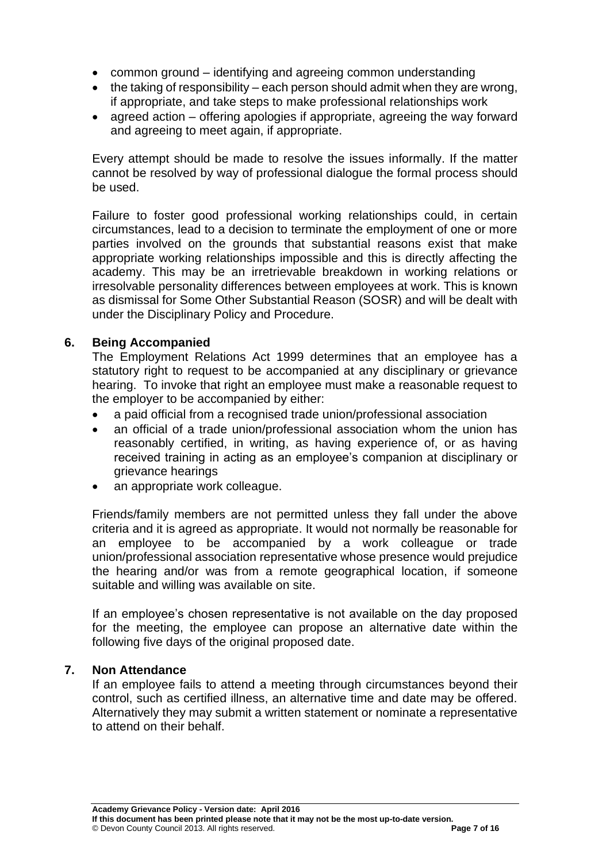- common ground identifying and agreeing common understanding
- $\bullet$  the taking of responsibility each person should admit when they are wrong, if appropriate, and take steps to make professional relationships work
- agreed action offering apologies if appropriate, agreeing the way forward and agreeing to meet again, if appropriate.

Every attempt should be made to resolve the issues informally. If the matter cannot be resolved by way of professional dialogue the formal process should be used.

Failure to foster good professional working relationships could, in certain circumstances, lead to a decision to terminate the employment of one or more parties involved on the grounds that substantial reasons exist that make appropriate working relationships impossible and this is directly affecting the academy. This may be an irretrievable breakdown in working relations or irresolvable personality differences between employees at work. This is known as dismissal for Some Other Substantial Reason (SOSR) and will be dealt with under the Disciplinary Policy and Procedure.

## **6. Being Accompanied**

The Employment Relations Act 1999 determines that an employee has a statutory right to request to be accompanied at any disciplinary or grievance hearing. To invoke that right an employee must make a reasonable request to the employer to be accompanied by either:

- a paid official from a recognised trade union/professional association
- an official of a trade union/professional association whom the union has reasonably certified, in writing, as having experience of, or as having received training in acting as an employee's companion at disciplinary or grievance hearings
- an appropriate work colleague.

Friends/family members are not permitted unless they fall under the above criteria and it is agreed as appropriate. It would not normally be reasonable for an employee to be accompanied by a work colleague or trade union/professional association representative whose presence would prejudice the hearing and/or was from a remote geographical location, if someone suitable and willing was available on site.

If an employee's chosen representative is not available on the day proposed for the meeting, the employee can propose an alternative date within the following five days of the original proposed date.

## **7. Non Attendance**

If an employee fails to attend a meeting through circumstances beyond their control, such as certified illness, an alternative time and date may be offered. Alternatively they may submit a written statement or nominate a representative to attend on their behalf.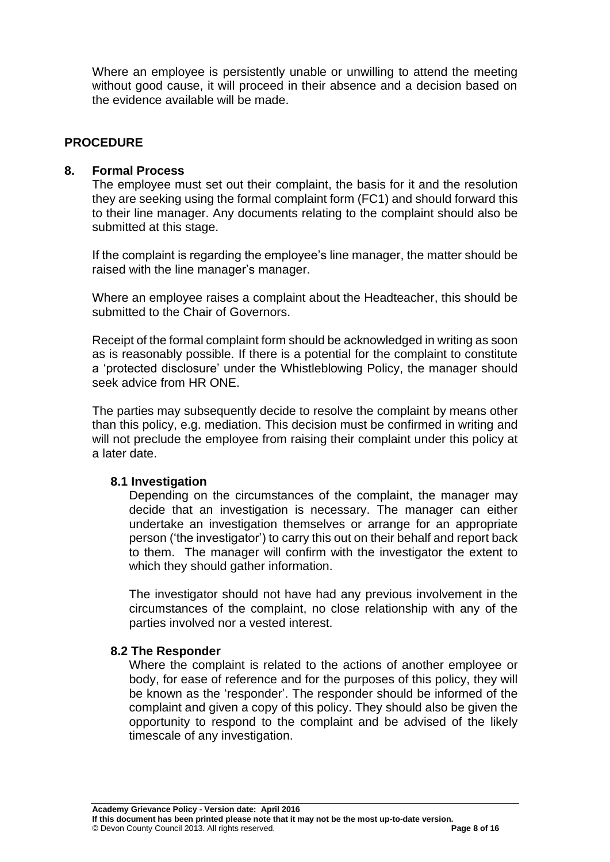Where an employee is persistently unable or unwilling to attend the meeting without good cause, it will proceed in their absence and a decision based on the evidence available will be made.

## **PROCEDURE**

#### **8. Formal Process**

The employee must set out their complaint, the basis for it and the resolution they are seeking using the formal complaint form (FC1) and should forward this to their line manager. Any documents relating to the complaint should also be submitted at this stage.

If the complaint is regarding the employee's line manager, the matter should be raised with the line manager's manager.

Where an employee raises a complaint about the Headteacher, this should be submitted to the Chair of Governors.

Receipt of the formal complaint form should be acknowledged in writing as soon as is reasonably possible. If there is a potential for the complaint to constitute a 'protected disclosure' under the Whistleblowing Policy, the manager should seek advice from HR ONE.

The parties may subsequently decide to resolve the complaint by means other than this policy, e.g. mediation. This decision must be confirmed in writing and will not preclude the employee from raising their complaint under this policy at a later date.

#### **8.1 Investigation**

Depending on the circumstances of the complaint, the manager may decide that an investigation is necessary. The manager can either undertake an investigation themselves or arrange for an appropriate person ('the investigator') to carry this out on their behalf and report back to them. The manager will confirm with the investigator the extent to which they should gather information.

The investigator should not have had any previous involvement in the circumstances of the complaint, no close relationship with any of the parties involved nor a vested interest.

#### **8.2 The Responder**

Where the complaint is related to the actions of another employee or body, for ease of reference and for the purposes of this policy, they will be known as the 'responder'. The responder should be informed of the complaint and given a copy of this policy. They should also be given the opportunity to respond to the complaint and be advised of the likely timescale of any investigation.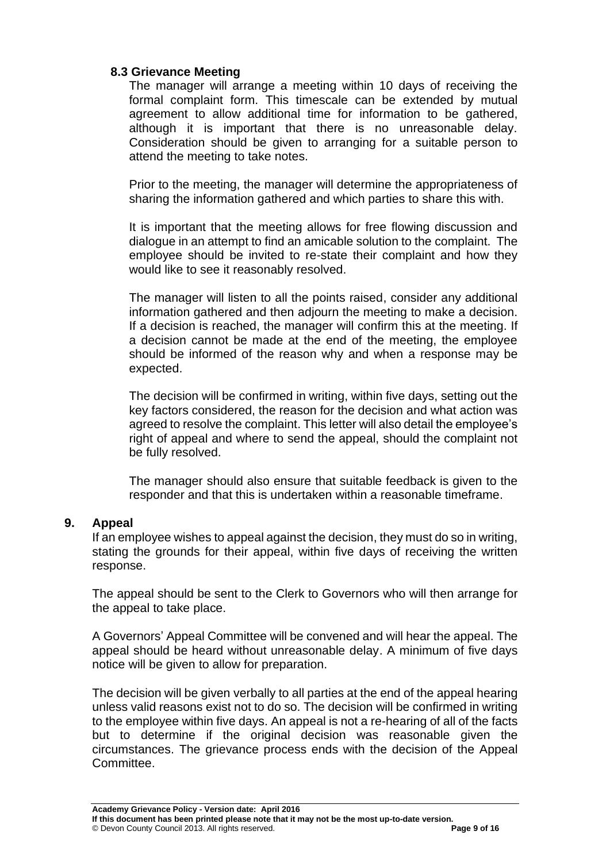## **8.3 Grievance Meeting**

The manager will arrange a meeting within 10 days of receiving the formal complaint form. This timescale can be extended by mutual agreement to allow additional time for information to be gathered, although it is important that there is no unreasonable delay. Consideration should be given to arranging for a suitable person to attend the meeting to take notes.

Prior to the meeting, the manager will determine the appropriateness of sharing the information gathered and which parties to share this with.

It is important that the meeting allows for free flowing discussion and dialogue in an attempt to find an amicable solution to the complaint. The employee should be invited to re-state their complaint and how they would like to see it reasonably resolved.

The manager will listen to all the points raised, consider any additional information gathered and then adjourn the meeting to make a decision. If a decision is reached, the manager will confirm this at the meeting. If a decision cannot be made at the end of the meeting, the employee should be informed of the reason why and when a response may be expected.

The decision will be confirmed in writing, within five days, setting out the key factors considered, the reason for the decision and what action was agreed to resolve the complaint. This letter will also detail the employee's right of appeal and where to send the appeal, should the complaint not be fully resolved.

The manager should also ensure that suitable feedback is given to the responder and that this is undertaken within a reasonable timeframe.

## **9. Appeal**

If an employee wishes to appeal against the decision, they must do so in writing, stating the grounds for their appeal, within five days of receiving the written response.

The appeal should be sent to the Clerk to Governors who will then arrange for the appeal to take place.

A Governors' Appeal Committee will be convened and will hear the appeal. The appeal should be heard without unreasonable delay. A minimum of five days notice will be given to allow for preparation.

The decision will be given verbally to all parties at the end of the appeal hearing unless valid reasons exist not to do so. The decision will be confirmed in writing to the employee within five days. An appeal is not a re-hearing of all of the facts but to determine if the original decision was reasonable given the circumstances. The grievance process ends with the decision of the Appeal Committee.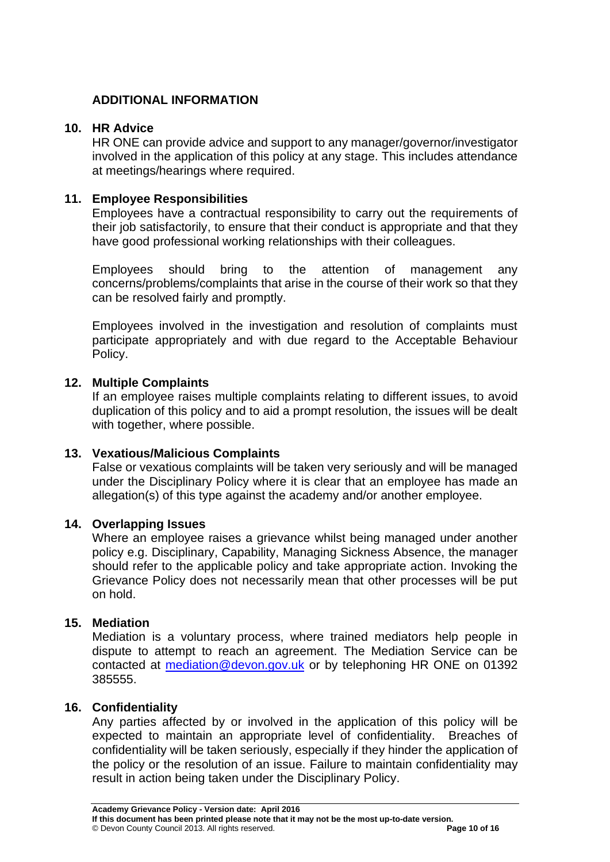## **ADDITIONAL INFORMATION**

#### **10. HR Advice**

HR ONE can provide advice and support to any manager/governor/investigator involved in the application of this policy at any stage. This includes attendance at meetings/hearings where required.

#### **11. Employee Responsibilities**

Employees have a contractual responsibility to carry out the requirements of their job satisfactorily, to ensure that their conduct is appropriate and that they have good professional working relationships with their colleagues.

Employees should bring to the attention of management any concerns/problems/complaints that arise in the course of their work so that they can be resolved fairly and promptly.

Employees involved in the investigation and resolution of complaints must participate appropriately and with due regard to the Acceptable Behaviour Policy.

#### **12. Multiple Complaints**

If an employee raises multiple complaints relating to different issues, to avoid duplication of this policy and to aid a prompt resolution, the issues will be dealt with together, where possible.

## **13. Vexatious/Malicious Complaints**

False or vexatious complaints will be taken very seriously and will be managed under the Disciplinary Policy where it is clear that an employee has made an allegation(s) of this type against the academy and/or another employee.

#### **14. Overlapping Issues**

Where an employee raises a grievance whilst being managed under another policy e.g. Disciplinary, Capability, Managing Sickness Absence, the manager should refer to the applicable policy and take appropriate action. Invoking the Grievance Policy does not necessarily mean that other processes will be put on hold.

## **15. Mediation**

Mediation is a voluntary process, where trained mediators help people in dispute to attempt to reach an agreement. The Mediation Service can be contacted at [mediation@devon.gov.uk](mailto:mediation@devon.gov.uk) or by telephoning HR ONE on 01392 385555.

## **16. Confidentiality**

Any parties affected by or involved in the application of this policy will be expected to maintain an appropriate level of confidentiality. Breaches of confidentiality will be taken seriously, especially if they hinder the application of the policy or the resolution of an issue. Failure to maintain confidentiality may result in action being taken under the Disciplinary Policy.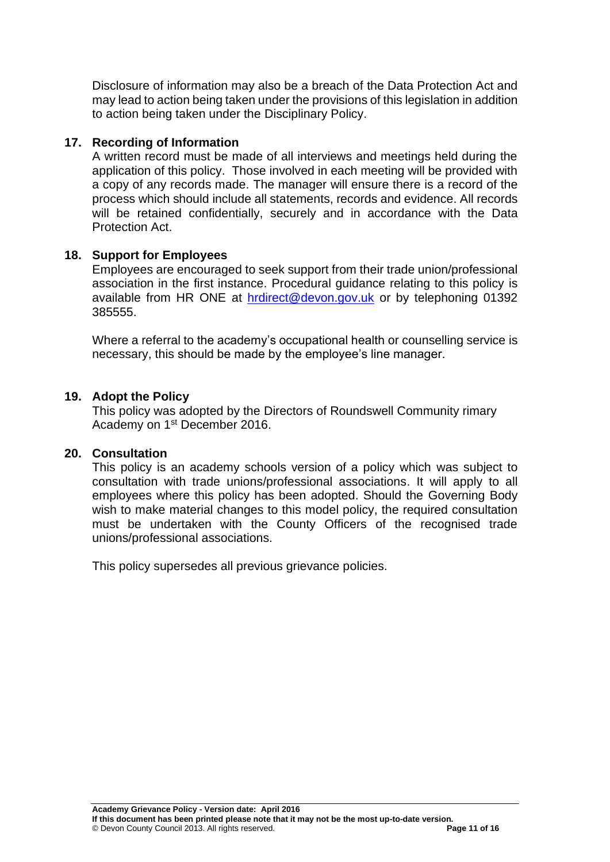Disclosure of information may also be a breach of the Data Protection Act and may lead to action being taken under the provisions of this legislation in addition to action being taken under the Disciplinary Policy.

#### **17. Recording of Information**

A written record must be made of all interviews and meetings held during the application of this policy. Those involved in each meeting will be provided with a copy of any records made. The manager will ensure there is a record of the process which should include all statements, records and evidence. All records will be retained confidentially, securely and in accordance with the Data Protection Act.

#### **18. Support for Employees**

Employees are encouraged to seek support from their trade union/professional association in the first instance. Procedural guidance relating to this policy is available from HR ONE at [hrdirect@devon.gov.uk](mailto:hrdirect@devon.gov.uk) or by telephoning 01392 385555.

Where a referral to the academy's occupational health or counselling service is necessary, this should be made by the employee's line manager.

#### **19. Adopt the Policy**

This policy was adopted by the Directors of Roundswell Community rimary Academy on 1<sup>st</sup> December 2016.

#### **20. Consultation**

This policy is an academy schools version of a policy which was subject to consultation with trade unions/professional associations. It will apply to all employees where this policy has been adopted. Should the Governing Body wish to make material changes to this model policy, the required consultation must be undertaken with the County Officers of the recognised trade unions/professional associations.

This policy supersedes all previous grievance policies.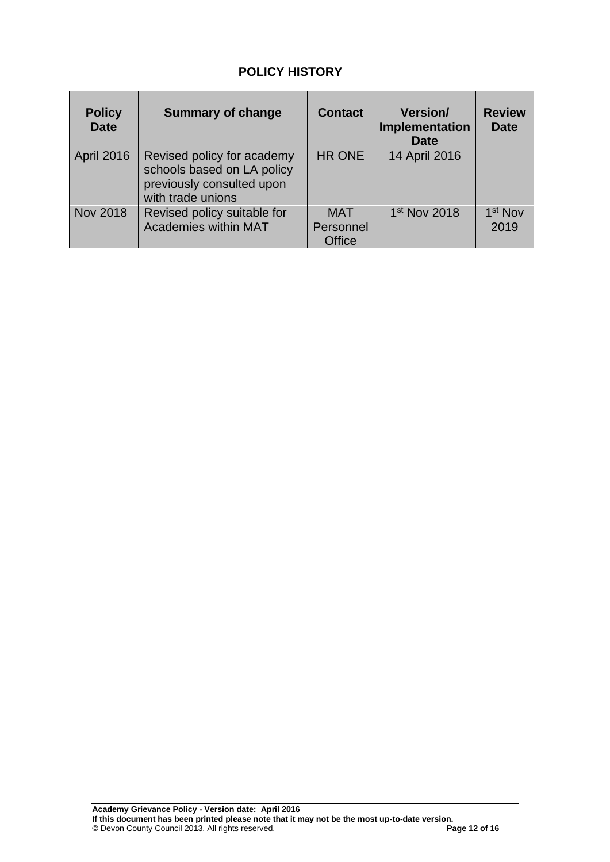# **POLICY HISTORY**

| <b>Policy</b><br><b>Date</b> | <b>Summary of change</b>                                                                                   | <b>Contact</b>                    | <b>Version/</b><br>Implementation<br><b>Date</b> | <b>Review</b><br><b>Date</b> |
|------------------------------|------------------------------------------------------------------------------------------------------------|-----------------------------------|--------------------------------------------------|------------------------------|
| April 2016                   | Revised policy for academy<br>schools based on LA policy<br>previously consulted upon<br>with trade unions | <b>HR ONE</b>                     | 14 April 2016                                    |                              |
| <b>Nov 2018</b>              | Revised policy suitable for<br><b>Academies within MAT</b>                                                 | <b>MAT</b><br>Personnel<br>Office | 1 <sup>st</sup> Nov 2018                         | 1 <sup>st</sup> Nov<br>2019  |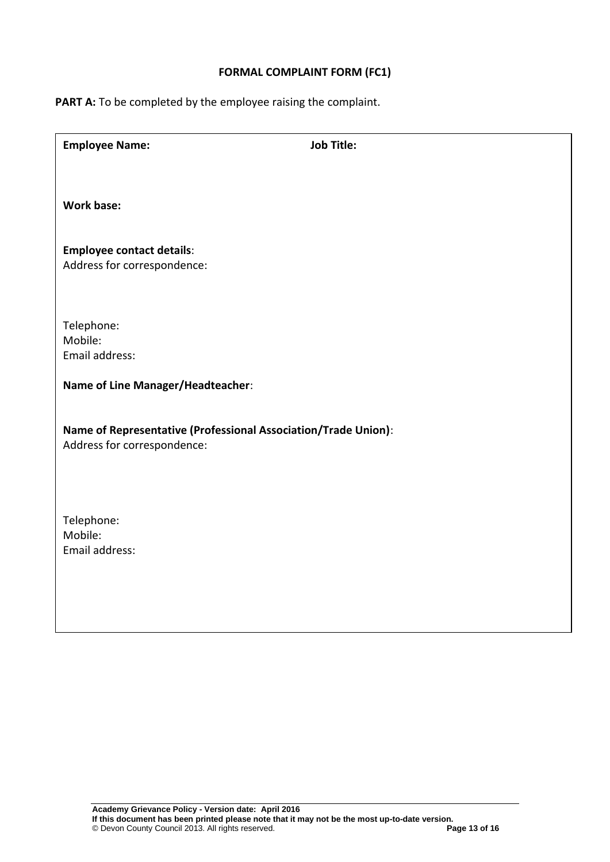## **FORMAL COMPLAINT FORM (FC1)**

PART A: To be completed by the employee raising the complaint.

| <b>Employee Name:</b>                                          | <b>Job Title:</b> |  |  |  |
|----------------------------------------------------------------|-------------------|--|--|--|
|                                                                |                   |  |  |  |
| <b>Work base:</b>                                              |                   |  |  |  |
|                                                                |                   |  |  |  |
| <b>Employee contact details:</b>                               |                   |  |  |  |
| Address for correspondence:                                    |                   |  |  |  |
|                                                                |                   |  |  |  |
| Telephone:                                                     |                   |  |  |  |
| Mobile:<br>Email address:                                      |                   |  |  |  |
| Name of Line Manager/Headteacher:                              |                   |  |  |  |
|                                                                |                   |  |  |  |
| Name of Representative (Professional Association/Trade Union): |                   |  |  |  |
| Address for correspondence:                                    |                   |  |  |  |
|                                                                |                   |  |  |  |
|                                                                |                   |  |  |  |
| Telephone:<br>Mobile:                                          |                   |  |  |  |
| Email address:                                                 |                   |  |  |  |
|                                                                |                   |  |  |  |
|                                                                |                   |  |  |  |
|                                                                |                   |  |  |  |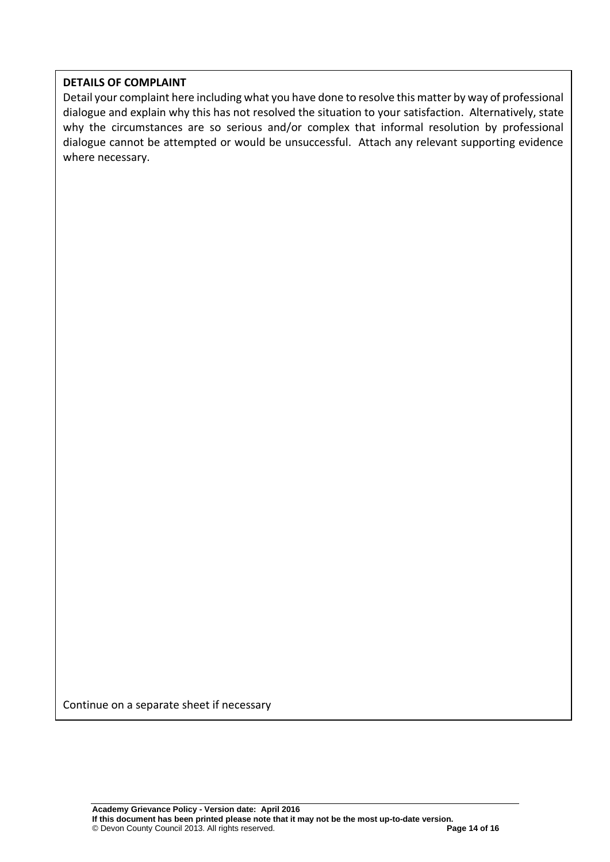#### **DETAILS OF COMPLAINT**

Detail your complaint here including what you have done to resolve this matter by way of professional dialogue and explain why this has not resolved the situation to your satisfaction. Alternatively, state why the circumstances are so serious and/or complex that informal resolution by professional dialogue cannot be attempted or would be unsuccessful. Attach any relevant supporting evidence where necessary.

Continue on a separate sheet if necessary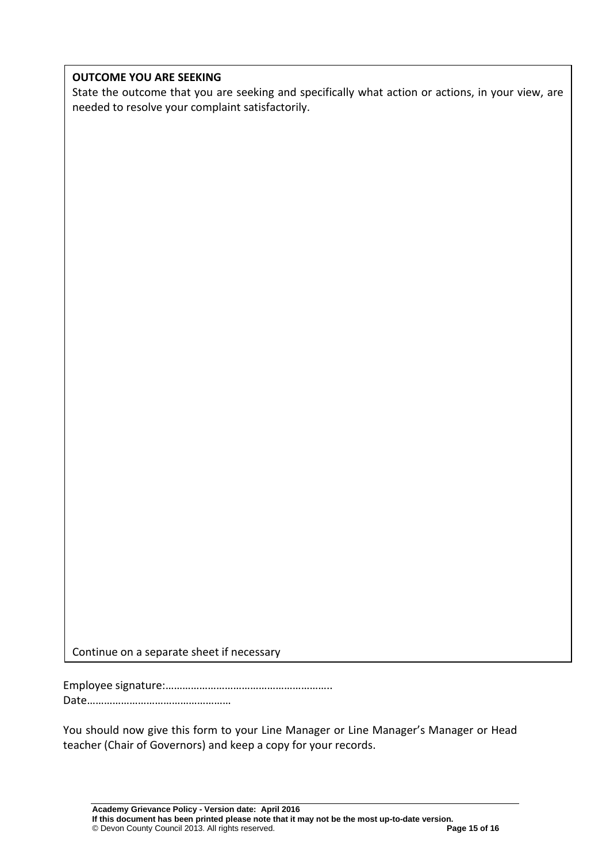#### **OUTCOME YOU ARE SEEKING**

State the outcome that you are seeking and specifically what action or actions, in your view, are needed to resolve your complaint satisfactorily.

Continue on a separate sheet if necessary

Employee signature:…………………………………………………..

Date……………………………………………

You should now give this form to your Line Manager or Line Manager's Manager or Head teacher (Chair of Governors) and keep a copy for your records.